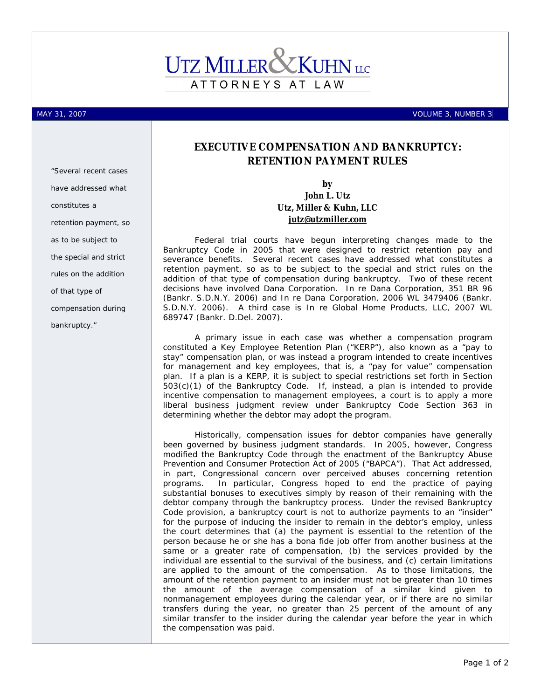# ATTORNEYS AT LAW

*"Several recent cases have addressed what* 

*retention payment, so* 

*as to be subject to the special and strict* 

*rules on the addition* 

*compensation during* 

*of that type of* 

*bankruptcy."* 

*constitutes a* 

MAY 31, 2007 **VOLUME 3, NUMBER 3** 

### **EXECUTIVE COMPENSATION AND BANKRUPTCY: RETENTION PAYMENT RULES**

**by John L. Utz** 

## **Utz, Miller & Kuhn, LLC [jutz@utzmiller.com](mailto:jutz@utzmiller.com)**

Federal trial courts have begun interpreting changes made to the Bankruptcy Code in 2005 that were designed to restrict retention pay and severance benefits. Several recent cases have addressed what constitutes a retention payment, so as to be subject to the special and strict rules on the addition of that type of compensation during bankruptcy. Two of these recent decisions have involved Dana Corporation. *In re Dana Corporation,* 351 BR 96 (Bankr. S.D.N.Y. 2006) and *In re Dana Corporation*, 2006 WL 3479406 (Bankr. S.D.N.Y. 2006). A third case is *In re Global Home Products, LLC,* 2007 WL 689747 (Bankr. D.Del. 2007).

A primary issue in each case was whether a compensation program constituted a Key Employee Retention Plan ("KERP"), also known as a "pay to stay" compensation plan, or was instead a program intended to create incentives for management and key employees, that is, a "pay for value" compensation plan. If a plan is a KERP, it is subject to special restrictions set forth in Section 503(c)(1) of the Bankruptcy Code. If, instead, a plan is intended to provide incentive compensation to management employees, a court is to apply a more liberal business judgment review under Bankruptcy Code Section 363 in determining whether the debtor may adopt the program.

Historically, compensation issues for debtor companies have generally been governed by business judgment standards. In 2005, however, Congress modified the Bankruptcy Code through the enactment of the Bankruptcy Abuse Prevention and Consumer Protection Act of 2005 ("BAPCA"). That Act addressed, in part, Congressional concern over perceived abuses concerning retention programs. In particular, Congress hoped to end the practice of paying substantial bonuses to executives simply by reason of their remaining with the debtor company through the bankruptcy process. Under the revised Bankruptcy Code provision, a bankruptcy court is not to authorize payments to an "insider" for the purpose of inducing the insider to remain in the debtor's employ, unless the court determines that (a) the payment is essential to the retention of the person because he or she has a bona fide job offer from another business at the same or a greater rate of compensation, (b) the services provided by the individual are essential to the survival of the business, and (c) certain limitations are applied to the amount of the compensation. As to those limitations, the amount of the retention payment to an insider must not be greater than 10 times the amount of the average compensation of a similar kind given to nonmanagement employees during the calendar year, or if there are no similar transfers during the year, no greater than 25 percent of the amount of any similar transfer to the insider during the calendar year before the year in which the compensation was paid.